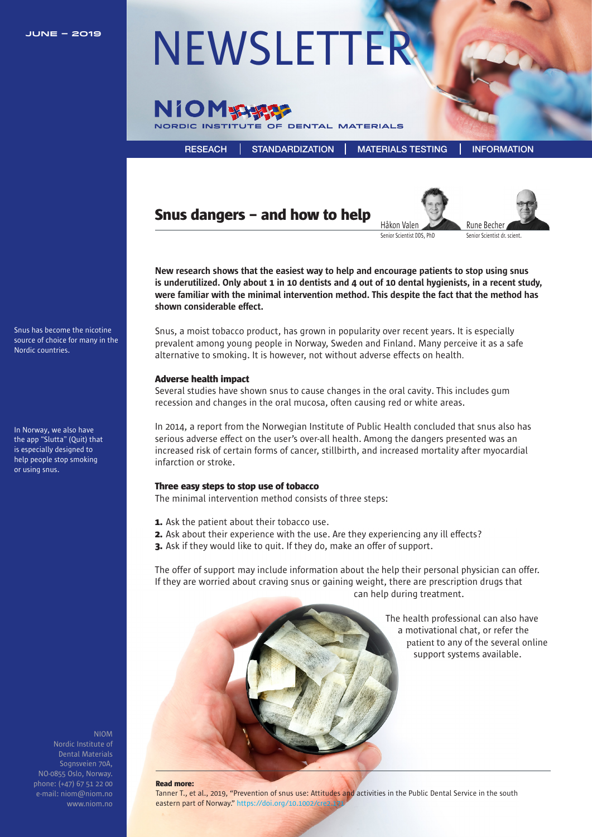

# **JUNE – 2019** [NEWSLETTER](https://niom.no/category/newsletters/)



[RESEACH](https://niom.no/research/) [STANDARDIZATION](https://niom.no/standardization/) [MATERIALS TESTING](https://niom.no/materials-testing/) [INFORMATION](https://niom.no/information/)

# Snus dangers – and how to help Rune Becher





Senior Scientist DDS, PhD

New research shows that the easiest way to help and encourage patients to stop using snus is underutilized. Only about 1 in 10 dentists and 4 out of 10 dental hygienists, in a recent study, were familiar with the minimal intervention method. This despite the fact that the method has shown considerable effect.

Snus, a moist tobacco product, has grown in popularity over recent years. It is especially prevalent among young people in Norway, Sweden and Finland. Many perceive it as a safe alternative to smoking. It is however, not without adverse effects on health.

#### Adverse health impact

Several studies have shown snus to cause changes in the oral cavity. This includes gum recession and changes in the oral mucosa, often causing red or white areas.

In 2014, a report from the Norwegian Institute of Public Health concluded that snus also has serious adverse effect on the user's over-all health. Among the dangers presented was an increased risk of certain forms of cancer, stillbirth, and increased mortality after myocardial infarction or stroke.

#### Three easy steps to stop use of tobacco

The minimal intervention method consists of three steps:

- **1.** Ask the patient about their tobacco use.
- 2. Ask about their experience with the use. Are they experiencing any ill effects?
- **3.** Ask if they would like to quit. If they do, make an offer of support.

The offer of support may include information about the help their personal physician can offer. If they are worried about craving snus or gaining weight, there are prescription drugs that can help during treatment.



The health professional can also have a motivational chat, or refer the patient to any of the several online support systems available.

NIOM Dental Materials Sognsveien 70A, NO-0855 Oslo, Norway. [phone: \(+47\) 67 51 22 00](https://niom.no/)  e-mail: niom@niom.no www.niom.no

#### Read more:

Tanner T., et al., 2019, "Prevention of snus use: Attitudes and activities in the Public Dental Service in the south eastern part of Norway." https://doi.org/10.1002/cre2.1

Snus has become the nicotine source of choice for many in the Nordic countries.

In Norway, we also have the app "Slutta" (Quit) that is especially designed to help people stop smoking or using snus.